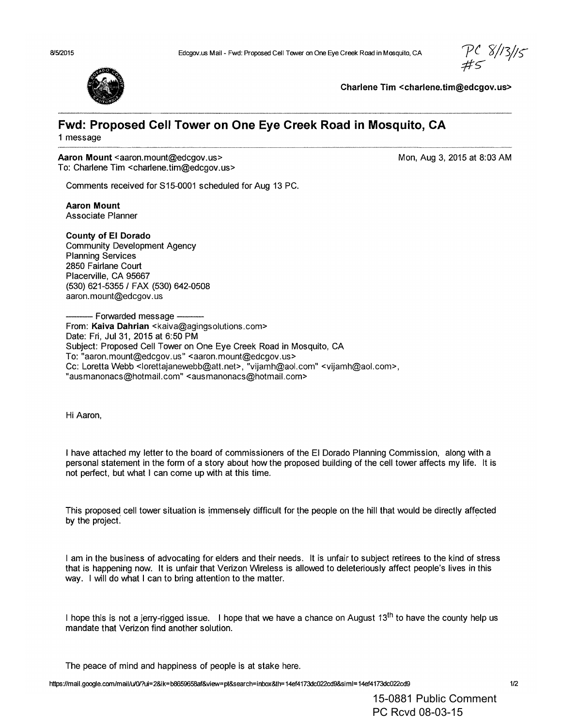<sup>VC</sup> 8/13/15



Charlene Tim <charlene.tim@edcgov.us>

# **Fwd: Proposed Cell Tower on One Eye Creek Road in Mosquito, CA**

1 message

#### Aaron Mount <aaron.mount@edcgov.us>

To: Charlene Tim <charlene.tim@edcgov.us>

Mon, Aug 3, 2015 at 8:03 AM

Comments received for 815-0001 scheduled for Aug 13 PC.

Aaron Mount Associate Planner

#### County of EI Dorado

Community Development Agency Planning Services 2850 Fairlane Court Placerville, CA 95667 (530) 621-5355/ FAX (530) 642-0508 aaron.mount@edcgov.us

- Forwarded message -From: Kaiva Dahrian <kaiva@agingsolutions.com> Date: Fri, Jul 31, 2015 at 6:50 PM Subject: Proposed Cell Tower on One Eye Creek Road in Mosquito, CA To: "aaron.mount@edcgov.us" <aaron.mount@edcgov.us> Cc: Loretta Webb <lorettajanewebb@atLnet>, "vijamh@aol.com" <vijamh@aol.com>, "ausmanonacs@hotmail.com" <ausmanonacs@hotmail.com>

Hi Aaron,

I have attached my letter to the board of commissioners of the EI Dorado Planning Commission, along with a personal statement in the form of a story about how the proposed building of the cell tower affects my life. It is not perfect, but what I can come up with at this time.

This proposed cell tower situation is immensely difficult for the people on the hill that would be directly affected by the project.

I am in the business of advocating for elders and their needs. It is unfair to subject retirees to the kind of stress that is happening now. It is unfair that Verizon Wireless is allowed to deleteriously affect people's lives in this way. I will do what I can to bring attention to the matter.

I hope this is not a jerry-rigged issue. I hope that we have a chance on August 13<sup>th</sup> to have the county help us mandate that Verizon find another solution.

The peace of mind and happiness of people is at stake here.

https:l/mail.google.com/maillulOl?ui=2&ik=b8659658af&view=pl&search=inbox&th=14ef4173dc022cd9&siml=14ef4173dc022cd9 1/2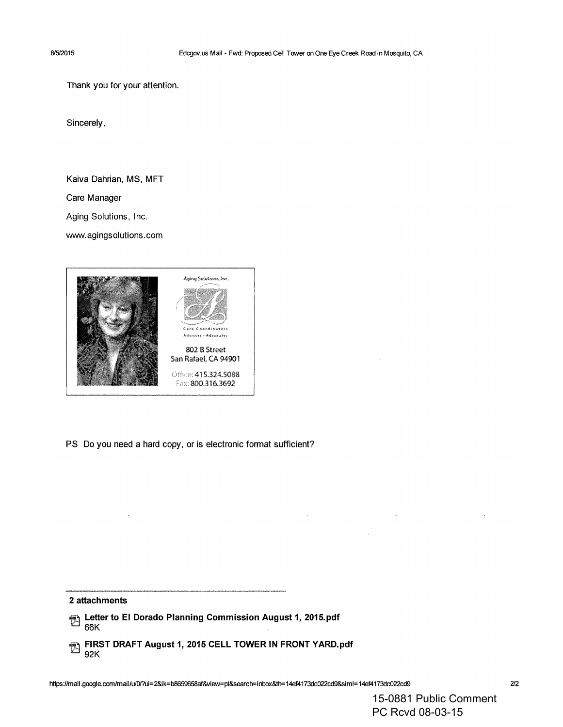Thank you for your attention.

Sincerely,

Kaiva Dahrian, MS, MFT

Care Manager

Aging Solutions. Inc.

www.agingsolutions.com



PS Do you need a hard copy, or is electronic format sufficient?

#### **2 attachments**

 $\ddot{\phantom{a}}$ 

- **Example 2015** Letter to EI Dorado Planning Commission August 1, 2015.pdf 66K .
- 'tEl **FIRST DRAFT August 1,2015 CELL TOWER IN FRONT** YARD.pdf 92K

 $\ddot{\phantom{a}}$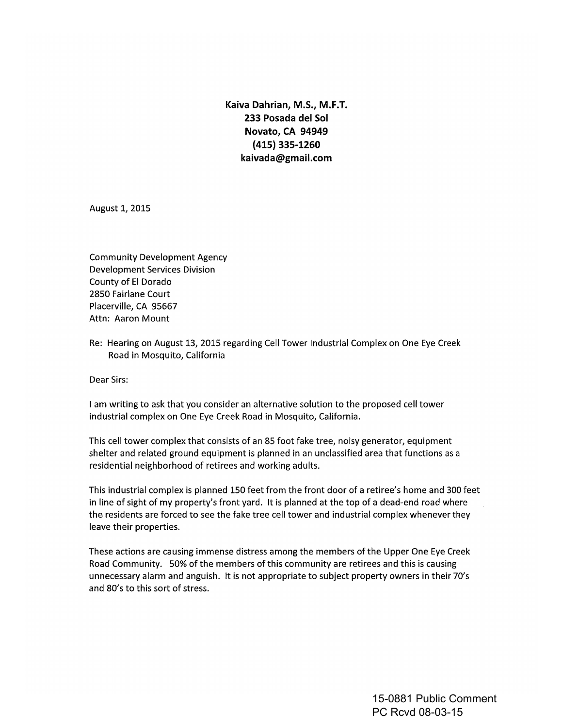**Kaiva Dahrian, M.S., M.F.T. 233 Posada del Sol Novato, CA 94949 (415) 335-1260 kaivada@gmail.com**

August 1, 2015

Community Development Agency Development Services Division County of **EI** Dorado 2850 Fairlane Court Placerville, CA 95667 Attn: Aaron Mount

Re: Hearing on August 13, 2015 regarding Cell Tower Industrial Complex on One Eye Creek Road in Mosquito, California

Dear Sirs:

I am writing to ask that you consider an alternative solution to the proposed cell tower industrial complex on One Eye Creek Road in Mosquito, California.

This cell tower complex that consists of an 85 foot fake tree, noisy generator, equipment shelter and related ground equipment is planned in an unclassified area that functions as a residential neighborhood of retirees and working adults.

This industrial complex is planned 150 feet from the front door of a retiree's home and 300 feet in line of sight of my property's front yard. It is planned at the top of a dead-end road where the residents are forced to see the fake tree cell tower and industrial complex whenever they leave their properties.

These actions are causing immense distress among the members of the Upper One Eye Creek Road Community. 50% of the members of this community are retirees and this is causing unnecessary alarm and anguish. It is not appropriate to subject property owners in their 70's and 80's to this sort of stress.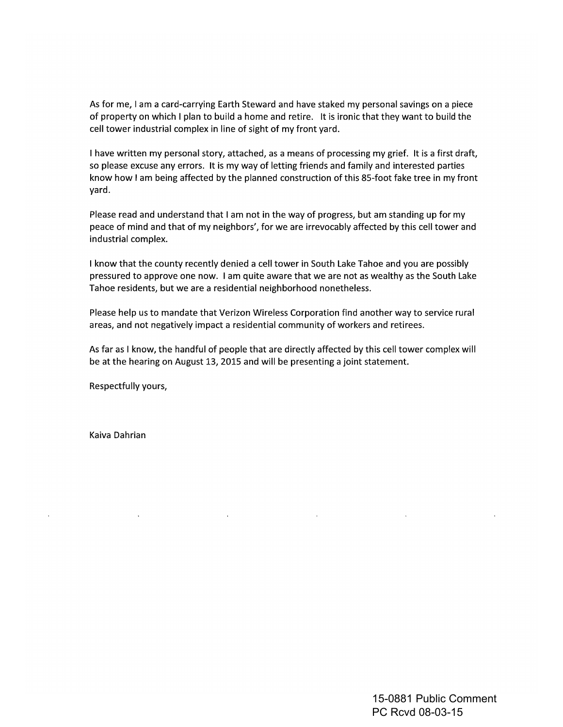As for me, I am a card-carrying Earth Steward and have staked my personal savings on a piece of property on which I plan to build a home and retire. It is ironic that they want to build the cell tower industrial complex in line of sight of my front yard.

I have written my personal story, attached, as a means of processing my grief. It is a first draft, so please excuse any errors. It is my way of letting friends and family and interested parties know how I am being affected by the planned construction of this 8S-foot fake tree in my front yard.

Please read and understand that I am not in the way of progress, but am standing up for my peace of mind and that of my neighbors', for we are irrevocably affected by this cell tower and industrial complex.

I know that the county recently denied a cell tower in South LakeTahoe and you are possibly pressured to approve one now. I am quite aware that we are not as wealthy as the South Lake Tahoe residents, but we are a residential neighborhood nonetheless.

Please help us to mandate that Verizon Wireless Corporation find another way to service rural areas, and not negatively impact a residential community of workers and retirees.

As far as I know, the handful of people that are directly affected by this cell tower complex will be at the hearing on August 13, 2015 and will be presenting a joint statement.

 $\sim 10^{10}$  km s  $^{-1}$ 

 $\sim 100$  km s  $^{-1}$ 

Respectfully yours,

 $\mathcal{L}^{\text{max}}(\mathbf{A})$  and  $\mathcal{L}^{\text{max}}(\mathbf{A})$ 

Kaiva Dahrian

 $\sim 10^{-11}$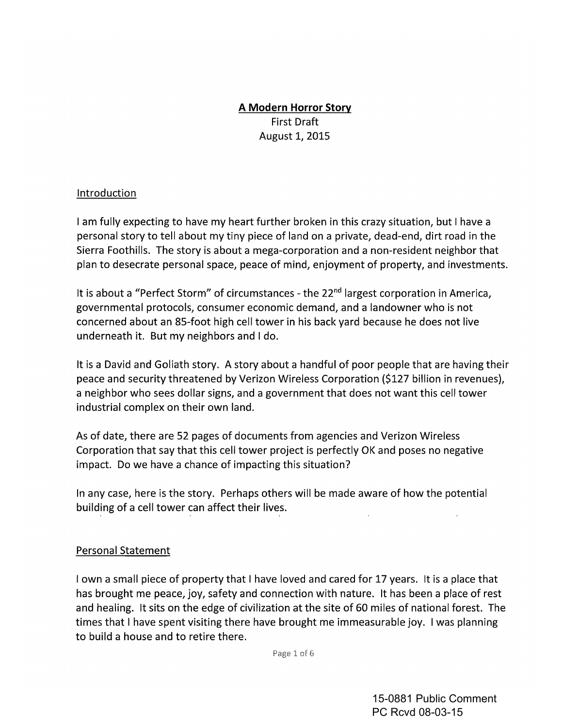## **A Modern Horror Story** First Draft August 1, 2015

#### Introduction

I am fully expecting to have my heart further broken in this crazy situation, but I have a personal story to tell about my tiny piece of land on a private, dead-end, dirt road in the Sierra Foothills. The story is about a mega-corporation and a non-resident neighbor that plan to desecrate personal space, peace of mind, enjoyment of property, and investments.

It is about a "Perfect Storm" of circumstances - the 22<sup>nd</sup> largest corporation in America, governmental protocols, consumer economic demand, and a landowner who is not concerned about an 85-foot high cell tower in his back yard because he does not live underneath it. But my neighbors and I do.

It is a David and Goliath story. A story about a handful of poor people that are having their peace and security threatened by Verizon Wireless Corporation (\$127 billion in revenues), a neighbor who sees dollar signs, and a government that does not want this cell tower industrial complex on their own land.

As of date, there are 52 pages of documents from agencies and Verizon Wireless Corporation that say that this cell tower project is perfectly OKand poses no negative impact. Do we have a chance of impacting this situation?

In any case, here is the story. Perhaps others will be made aware of how the potential building of a cell tower can affect their lives.

#### Personal Statement

I own a small piece of property that I have loved and cared for 17 years. It is a place that has brought me peace, joy, safety and connection with nature. It has been a place of rest and healing. It sits on the edge of civilization at the site of 60 miles of national forest. The times that I have spent visiting there have brought me immeasurable joy. I was planning to build a house and to retire there.

Page 1 of 6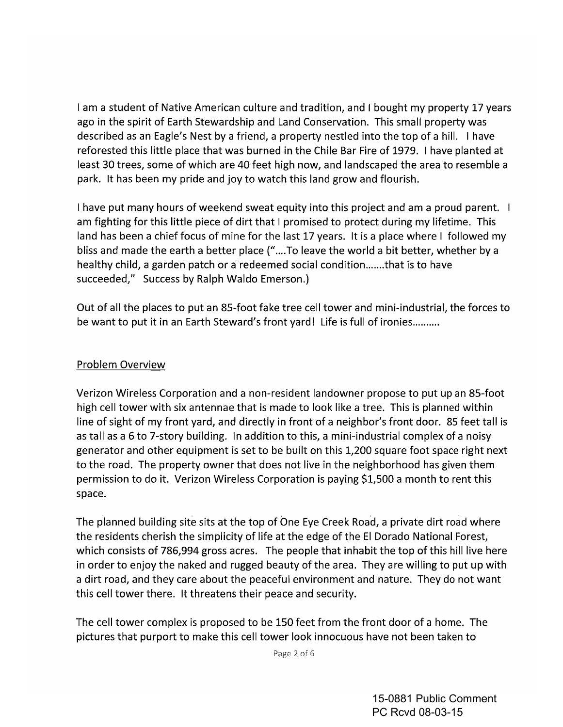I am a student of Native American culture and tradition, and I bought my property 17 years ago in the spirit of Earth Stewardship and Land Conservation. This small property was described as an Eagle's Nest by a friend, a property nestled into the top of a hill. I have reforested this little place that was burned in the Chile Bar Fire of 1979. I have planted at least 30 trees, some of which are 40 feet high now, and landscaped the area to resemble a park. It has been my pride and joy to watch this land grow and flourish.

I have put many hours of weekend sweat equity into this project and am a proud parent. I am fighting for this little piece of dirt that I promised to protect during my lifetime. This land has been a chief focus of mine for the last 17 years. It is a place where I followed my bliss and made the earth a better place ("....To leave the world a bit better, whether by a healthy child, a garden patch or a redeemed social condition.......that is to have succeeded," Success by Ralph Waldo Emerson.)

Out of all the places to put an 85-foot fake tree cell tower and mini-industrial, the forces to be want to put it in an Earth Steward's front yard! Life is full of ironies.........

#### Problem Overview

Verizon Wireless Corporation and a non-resident landowner propose to put up an 85-foot high cell tower with six antennae that is made to look like a tree. This is planned within line of sight of my front yard, and directly in front of a neighbor's front door. 85 feet tall is as tall as a 6 to 7-story building. In addition to this, a mini-industrial complex of a noisy generator and other equipment is set to be built on this 1,200 square foot space right next to the road. The property owner that does not live in the neighborhood has given them permission to do it. Verizon Wireless Corporation is paying \$1,500 a month to rent this space.

The planned building site sits at the top of One Eye Creek Road, a private dirt road where the residents cherish the simplicity of life at the edge of the EI Dorado National Forest, which consists of 786,994 gross acres. The people that inhabit the top of this hill live here in order to enjoy the naked and rugged beauty of the area. They are willing to put up with a dirt road, and they care about the peaceful environment and nature. They do not want this cell tower there. It threatens their peace and security.

The cell tower complex is proposed to be 150 feet from the front door of a home. The pictures that purport to make this cell tower look innocuous have not been taken to

Page 2 of 6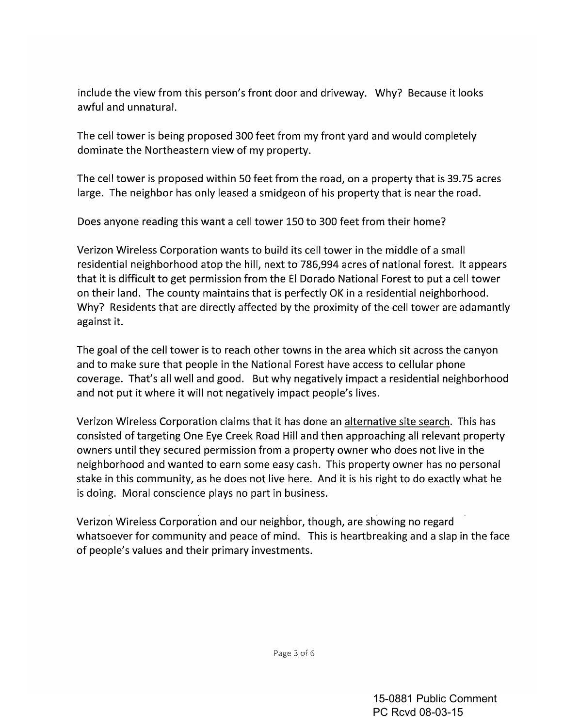include the view from this person's front door and driveway. Why? Because it looks awful and unnatural.

The cell tower is being proposed 300 feet from my front yard and would completely dominate the Northeastern view of my property.

The cell tower is proposed within 50 feet from the road, on a property that is 39.75 acres large. The neighbor has only leased a smidgeon of his property that is near the road.

Does anyone reading this want a cell tower 150 to 300 feet from their home?

Verizon Wireless Corporation wants to build its cell tower in the middle of a small residential neighborhood atop the hill, next to 786,994 acres of national forest. It appears that it is difficult to get permission from the EI Dorado National Forest to put a cell tower on their land. The county maintains that is perfectly OK in a residential neighborhood. Why? Residents that are directly affected by the proximity of the cell tower are adamantly against it.

The goal of the cell tower is to reach other towns in the area which sit across the canyon and to make sure that people in the National Forest have access to cellular phone coverage. That's all well and good. But why negatively impact a residential neighborhood and not put it where it will not negatively impact people's lives.

Verizon Wireless Corporation claims that it has done an alternative site search. This has consisted of targeting One Eye Creek Road Hill and then approaching all relevant property owners until they secured permission from a property owner who does not live in the neighborhood and wanted to earn some easy cash. This property owner has no personal stake in this community, as he does not live here. And it is his right to do exactly what he is doing. Moral conscience plays no part in business.

Verizon Wireless Corporation and our neighbor, though, are showing no regard whatsoever for community and peace of mind. This is heartbreaking and a slap in the face of people's values and their primary investments.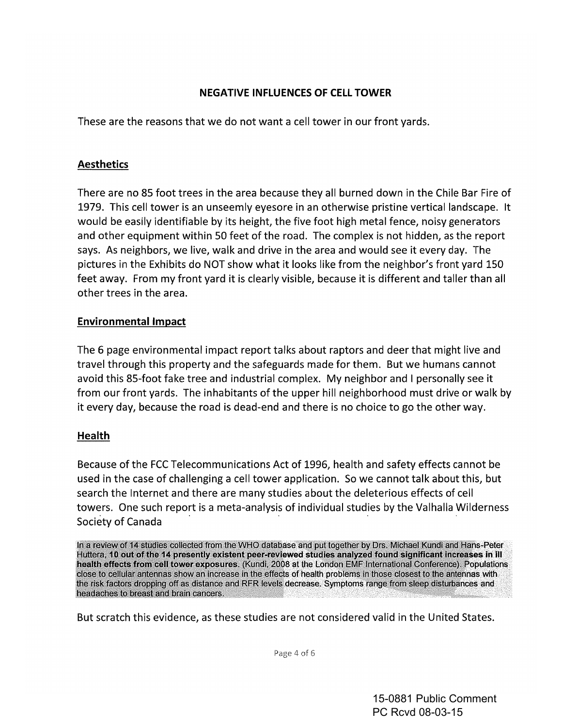#### **NEGATIVE INFLUENCES OF CELL TOWER**

These are the reasons that we do not want a cell tower in our front yards.

## **Aesthetics**

There are no 85 foot trees in the area because they all burned down in the Chile Bar Fire of 1979. This cell tower is an unseemly eyesore in an otherwise pristine vertical landscape. It would be easily identifiable by its height, the five foot high metal fence, noisy generators and other equipment within 50 feet of the road. The complex is not hidden, as the report says. As neighbors, we live, walk and drive in the area and would see it every day. The pictures in the Exhibits do NOT show what it looks like from the neighbor's front yard 150 feet away. From my front yard it is clearly visible, because it is different and taller than all other trees in the area.

## Environmental Impact

The 6 page environmental impact report talks about raptors and deer that might live and travel through this property and the safeguards made for them. But we humans cannot avoid this 85-foot fake tree and industrial complex. My neighbor and I personally see it from our front yards. The inhabitants of the upper hill neighborhood must drive or walk by it every day, because the road is dead-end and there is no choice to go the other way.

#### **Health**

Because of the FCC Telecommunications Act of 1996, health and safety effects cannot be used in the case of challenging a cell tower application. Sowe cannot talk about this, but search the Internet and there are many studies about the deleterious effects of cell towers. One such report is a meta-analysis of individual studies by the Valhalla Wilderness Society of Canada

In a review of 14 studies collected from the WHO database and put together by Drs. Michael Kundi and Hans-Peter Huttera, 10 out of the 14 presently existent peer-reviewed studies analyzed found significant increases in III health effects from cell tower exposures. (Kundi, 2008 at the London EMF International Conference). Populations close to cellular antennas show an increase in the effects of health problems in those closest to the antennas with the risk factors dropping off as distance and RFR levels decrease. Symptoms range from sleep disturbances and headaches to breast and brain cancers.

But scratch this evidence, as these studies are not considered valid in the United States.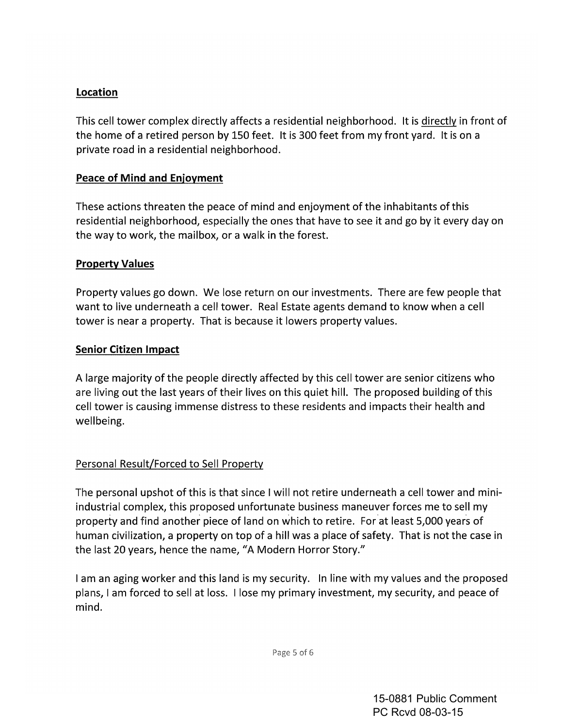## Location

This cell tower complex directly affects a residential neighborhood. It is directly in front of the home of a retired person by 150 feet. It is 300 feet from my front yard. It is on a private road in a residential neighborhood.

#### Peace of Mind and Enjoyment

These actions threaten the peace of mind and enjoyment of the inhabitants of this residential neighborhood, especially the ones that have to see it and go by it every day on the way to work, the mailbox, or a walk in the forest.

#### Property Values

Property values go down. We lose return on our investments. There are few people that want to live underneath a cell tower. Real Estate agents demand to know when a cell tower is near a property. That is because it lowers property values.

#### Senior Citizen Impact

A large majority of the people directly affected by this cell tower are senior citizens who are living out the last years of their lives on this quiet hill. The proposed building of this cell tower is causing immense distress to these residents and impacts their health and wellbeing.

#### Personal Result/Forced to Sell Property

The personal upshot of this is that since I will not retire underneath a cell tower and miniindustrial complex, this proposed unfortunate business maneuver forces me to sell my property and find another piece of land on which to retire. Forat least 5,000 years of human civilization, a property on top of a hill was a place of safety. That is not the case in the last 20 years, hence the name, "A Modern Horror Story."

I am an aging worker and this land is my security. In line with my values and the proposed plans, I am forced to sell at loss. I lose my primary investment, my security, and peace of mind.